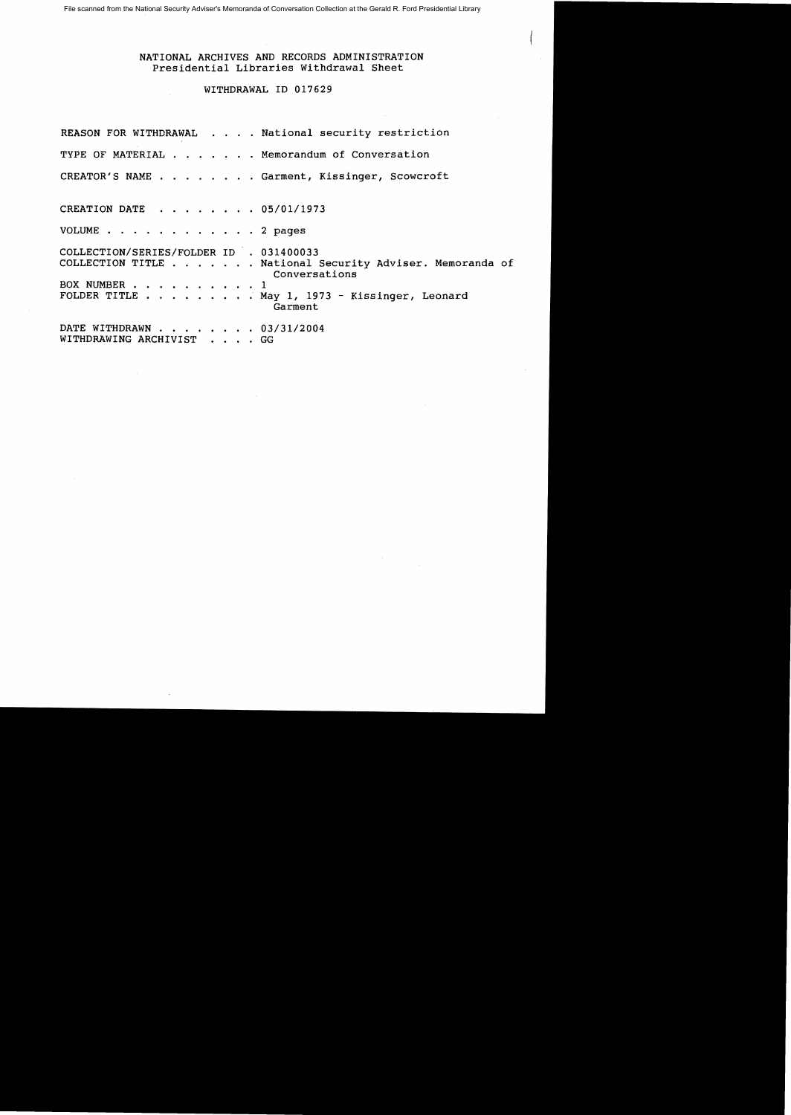## NATIONAL ARCHIVES AND RECORDS ADMINISTRATION Presidential Libraries Withdrawal Sheet

## WITHDRAWAL ID 017629

REASON FOR WITHDRAWAL . . . . National security restriction TYPE OF MATERIAL  $\ldots$  . . . . Memorandum of Conversation CREATOR'S NAME . . . . . . . Garment, Kissinger, Scowcroft CREATION DATE . . . . . . 05/01/1973 VOLUME . . . . . . . . . . . . 2 pages COLLECTION/SERIES/FOLDER ID . 031400033 COLLECTION TITLE . . . . . . National Security Adviser. Memoranda of Conversations BOX NUMBER . . . . . . . . . . 1<br>FOLDER TITLE . . . . . . . . . M  $\blacksquare$ . . May 1, 1973 - Kissinger, Leonard Garment DATE WITHDRAWN . . . . . . . 03/31/2004 WITHDRAWING ARCHIVIST . . . GG